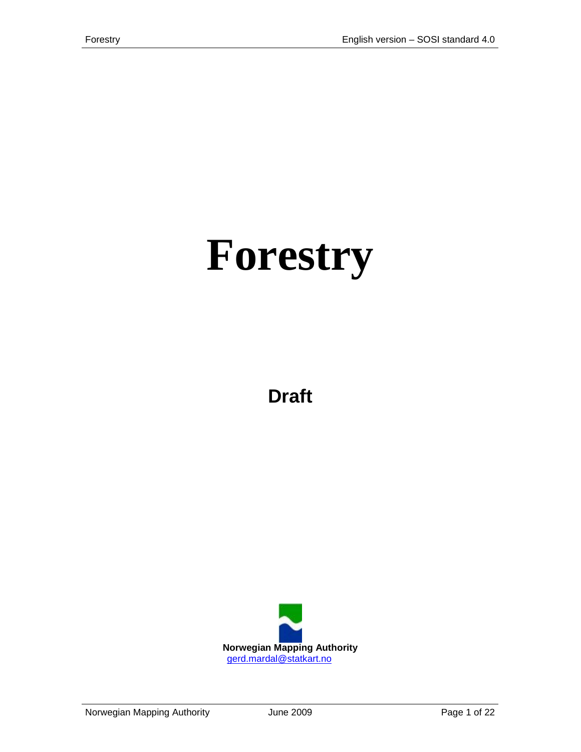# **Forestry**

**Draft**

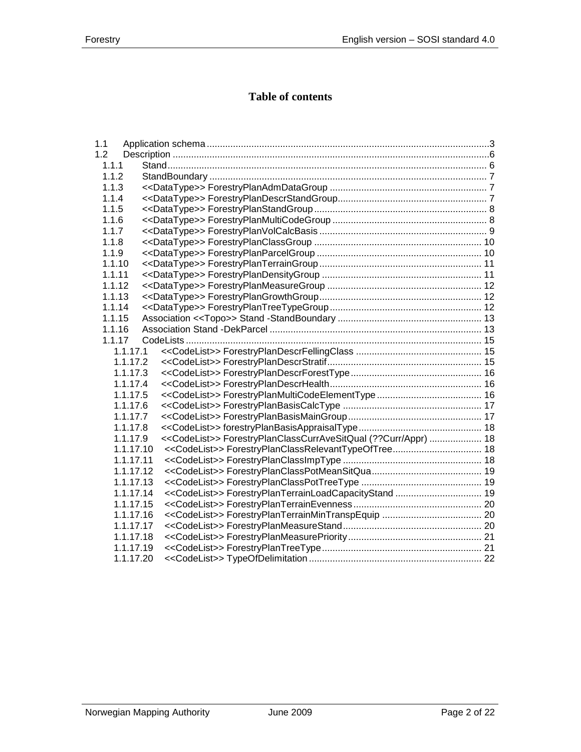## **Table of contents**

| 1.1    |           |                                                                   |  |
|--------|-----------|-------------------------------------------------------------------|--|
| 1.2    |           |                                                                   |  |
| 1.1.1  |           |                                                                   |  |
| 1.1.2  |           |                                                                   |  |
| 1.1.3  |           |                                                                   |  |
| 1.1.4  |           |                                                                   |  |
| 1.1.5  |           |                                                                   |  |
| 1.1.6  |           |                                                                   |  |
| 1.1.7  |           |                                                                   |  |
| 1.1.8  |           |                                                                   |  |
| 1.1.9  |           |                                                                   |  |
| 1.1.10 |           |                                                                   |  |
| 1.1.11 |           |                                                                   |  |
| 1.1.12 |           |                                                                   |  |
| 1.1.13 |           |                                                                   |  |
| 1.1.14 |           |                                                                   |  |
| 1.1.15 |           |                                                                   |  |
| 1.1.16 |           |                                                                   |  |
| 1.1.17 |           |                                                                   |  |
|        | 1.1.17.1  |                                                                   |  |
|        | 1.1.17.2  |                                                                   |  |
|        | 1.1.17.3  |                                                                   |  |
|        | 1.1.17.4  |                                                                   |  |
|        | 1.1.17.5  |                                                                   |  |
|        | 1.1.17.6  |                                                                   |  |
|        | 1.1.17.7  |                                                                   |  |
|        | 1.1.17.8  |                                                                   |  |
|        | 1.1.17.9  | << CodeList>> ForestryPlanClassCurrAveSitQual (??Curr/Appr)  18   |  |
|        | 1.1.17.10 | < <codelist>&gt;ForestryPlanClassRelevantTypeOfTree 18</codelist> |  |
|        | 1.1.17.11 |                                                                   |  |
|        | 1.1.17.12 |                                                                   |  |
|        | 1.1.17.13 |                                                                   |  |
|        | 1.1.17.14 | << CodeList>> ForestryPlanTerrainLoadCapacityStand  19            |  |
|        | 1.1.17.15 |                                                                   |  |
|        | 1.1.17.16 |                                                                   |  |
|        | 1.1.17.17 |                                                                   |  |
|        | 1.1.17.18 |                                                                   |  |
|        | 1.1.17.19 |                                                                   |  |
|        | 1.1.17.20 |                                                                   |  |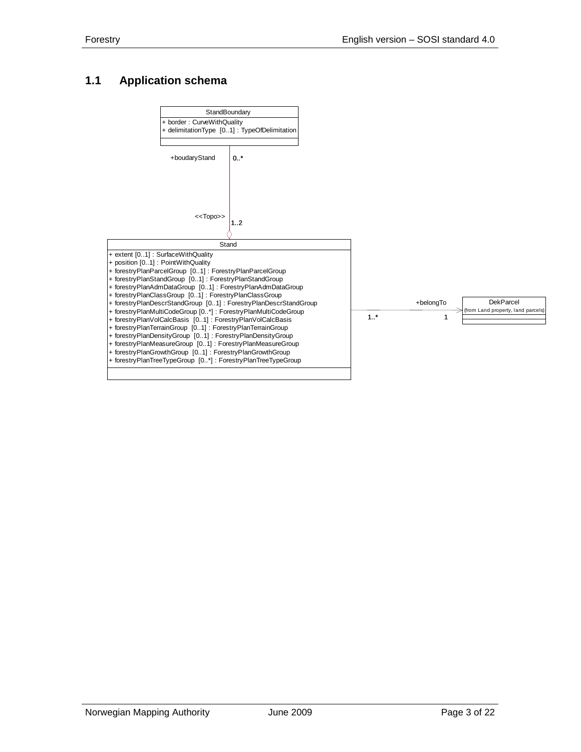#### <span id="page-2-0"></span>**1.1 Application schema**

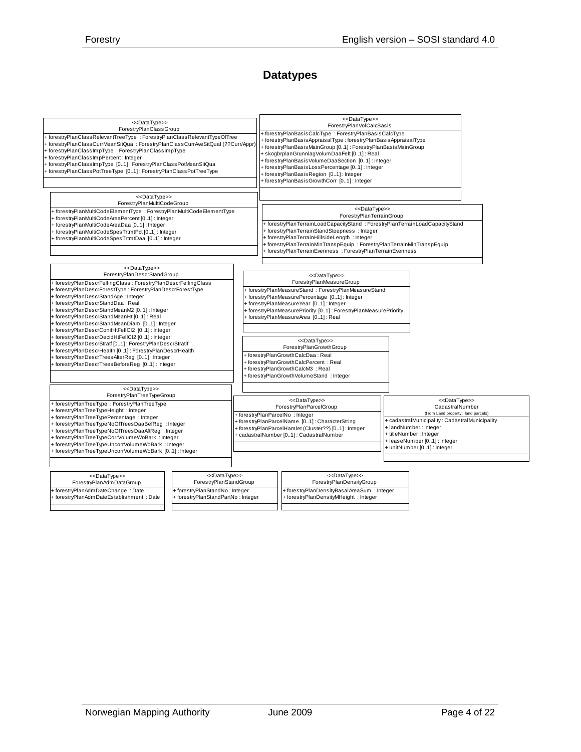## **Datatypes**

| < <datatype>&gt;<br/>ForestryPlanClassGroup</datatype>                                                                                                                                                                                                                                                                                                                                                        |                             | < <datatype>&gt;<br/>ForestryPlanVolCalcBasis</datatype> |                                                                                                                                                                                                                                                                                                                                                                                                                                               |  |                                                                                                                                                                                                                            |  |
|---------------------------------------------------------------------------------------------------------------------------------------------------------------------------------------------------------------------------------------------------------------------------------------------------------------------------------------------------------------------------------------------------------------|-----------------------------|----------------------------------------------------------|-----------------------------------------------------------------------------------------------------------------------------------------------------------------------------------------------------------------------------------------------------------------------------------------------------------------------------------------------------------------------------------------------------------------------------------------------|--|----------------------------------------------------------------------------------------------------------------------------------------------------------------------------------------------------------------------------|--|
| + forestryPlanClassRelevantTreeType: ForestryPlanClassRelevantTypeOfTree<br>+ forestryPlanClassCurrMeanSitQua: ForestryPlanClassCurrAveSitQual (??Curr/Appr)<br>+forestryPlanClassImpType: ForestryPlanClassImpType<br>+ forestryPlanClassImpPercent: Integer<br>+ forestryPlanClassImpType [01]: ForestryPlanClassPotMeanSitQua<br>+forestryPlanClassPotTreeType [01]: ForestryPlanClassPotTreeType          |                             |                                                          | + forestryPlanBasisCalcType: ForestryPlanBasisCalcType<br>+ forestryPlanBasisAppraisalType: forestryPlanBasisAppraisalType<br>+ forestryPlanBasisMainGroup [01]: ForestryPlanBasisMainGroup<br>+ skogbrplanGrunnlagVolumDaaFelt [01] : Real<br>+ forestryPlanBasisVolumeDaaSection [01]: Integer<br>+ forestryPlanBasisLossPercentage [01]: Integer<br>+ forestryPlanBasisRegion [01]: Integer<br>+ forestryPlanBasisGrowthCorr [01]: Integer |  |                                                                                                                                                                                                                            |  |
| < <datatype>&gt;<br/>ForestryPlanMultiCodeGroup</datatype>                                                                                                                                                                                                                                                                                                                                                    |                             |                                                          |                                                                                                                                                                                                                                                                                                                                                                                                                                               |  |                                                                                                                                                                                                                            |  |
| +forestryPlanMultiCodeElementType: ForestryPlanMultiCodeElementType<br>+ forestryPlanMultiCodeAreaPercent [01] : Integer<br>+ forestryPlanMultiCodeAreaDaa [01] : Integer                                                                                                                                                                                                                                     |                             |                                                          | < <datatype>&gt;<br/>ForestryPlanTerrainGroup<br/>+ forestryPlanTerrainLoadCapacityStand: ForestryPlanTerrainLoadCapacityStand</datatype>                                                                                                                                                                                                                                                                                                     |  |                                                                                                                                                                                                                            |  |
| + forestryPlanMultiCodeSpesTrtmtPct [01] : Integer<br>+ forestryPlanMultiCodeSpesTrtmtDaa [01]: Integer                                                                                                                                                                                                                                                                                                       |                             |                                                          | + forestryPlanTerrainStandSteepness : Integer<br>+ forestryPlanTerrainHillsideLength: Integer<br>+ forestryPlanTerrainMinTranspEquip: ForestryPlanTerrainMinTranspEquip<br>+ forestryPlanTerrainEvenness: ForestryPlanTerrainEvenness                                                                                                                                                                                                         |  |                                                                                                                                                                                                                            |  |
| < <datatype>&gt;<br/>ForestryPlanDescrStandGroup</datatype>                                                                                                                                                                                                                                                                                                                                                   |                             |                                                          | < <datatype>&gt;</datatype>                                                                                                                                                                                                                                                                                                                                                                                                                   |  |                                                                                                                                                                                                                            |  |
| + forestryPlanDescrFellingClass: ForestryPlanDescrFellingClass<br>+ forestryPlanDescrForestType: ForestryPlanDescrForestType<br>+ forestryPlanDescrStandAge: Integer<br>+ forestryPlanDescrStandDaa: Real<br>+ forestryPlanDescrStandMeanM2 [01]: Integer<br>+ forestryPlanDescrStandMeanHt [01]: Real<br>+ forestryPlanDescrStandMeanDiam [01]: Integer                                                      |                             |                                                          | ForestryPlanMeasureGroup<br>+ forestryPlanMeasureStand: ForestryPlanMeasureStand<br>+ forestryPlanMeasurePercentage [01]: Integer<br>+ forestryPlanMeasureYear [01]: Integer<br>+ forestryPlanMeasurePriority [01]: ForestryPlanMeasurePriority<br>+ forestryPlanMeasureArea [01]: Real                                                                                                                                                       |  |                                                                                                                                                                                                                            |  |
| + forestryPlanDescrConifHtFellCl2 [01]: Integer<br>+ forestryPlanDescrDecidHtFelICl2 [01] : Integer<br>+ forestryPlanDescrStratf [01]: ForestryPlanDescrStratif<br>+ forestryPlanDescrHealth [01]: ForestryPlanDescrHealth                                                                                                                                                                                    |                             |                                                          | < <datatype>&gt;<br/>ForestryPlanGrowthGroup<br/>+ forestryPlanGrowthCalcDaa: Real</datatype>                                                                                                                                                                                                                                                                                                                                                 |  |                                                                                                                                                                                                                            |  |
| + forestryPlanDescrTreesAfterReg [01]: Integer<br>+ forestryPlanDescrTreesBeforeReg [01]: Integer                                                                                                                                                                                                                                                                                                             |                             |                                                          | + forestryPlanGrowthCalcPercent: Real<br>+ forestryPlanGrowthCalcM3: Real<br>+ forestryPlanGrowthVolumeStand: Integer                                                                                                                                                                                                                                                                                                                         |  |                                                                                                                                                                                                                            |  |
| < <datatype>&gt;<br/>ForestryPlanTreeTypeGroup</datatype>                                                                                                                                                                                                                                                                                                                                                     |                             |                                                          | < <datatype>&gt;</datatype>                                                                                                                                                                                                                                                                                                                                                                                                                   |  | < <datatype>&gt;</datatype>                                                                                                                                                                                                |  |
| + forestryPlanTreeType: ForestryPlanTreeType<br>+ forestryPlanTreeTypeHeight: Integer<br>+ forestryPlanTreeTypePercentage : Integer<br>+ forestryPlanTreeTypeNoOfTreesDaaBefReg: Integer<br>+ forestryPlanTreeTypeNoOfTreesDaaAftReg: Integer<br>+ forestryPlanTreeTypeCorrVolumeWoBark: hteger<br>+ forestryPlanTreeTypeUncorrVolumeWoBark: hteger<br>+ forestryPlanTreeTypeUncorrVolumeWoBark [01]: Integer |                             |                                                          | ForestryPlanParcelGroup<br>+ forestryPlanParcelNo : Integer<br>+ forestryPlanParcelName [01]: CharacterString<br>+ forestryPlanParcelHamlet (Cluster??) [01] : Integer<br>+ cadastralNumber [01]: CadastralNumber                                                                                                                                                                                                                             |  | CadastralNumber<br>(from Land property, land parcels)<br>+ cadastralMunicipality: CadastralMunicipality<br>+ landNumber: Integer<br>+ titleNumber : Integer<br>+ leaseNumber [01] : Integer<br>+ unitNumber [01] : Integer |  |
| < <datatype>&gt;</datatype>                                                                                                                                                                                                                                                                                                                                                                                   | < <datatype>&gt;</datatype> |                                                          | < <datatype>&gt;</datatype>                                                                                                                                                                                                                                                                                                                                                                                                                   |  |                                                                                                                                                                                                                            |  |
| ForestryPlanAdmDataGroup<br>ForestryPlanStandGroup<br>+ forestryPlanAdmDateChange: Date<br>+ forestryPlanStandNo: Integer<br>+ forestryPlanAdmDateEstablishment: Date<br>+ forestryPlanStandPartNo: Integer                                                                                                                                                                                                   |                             |                                                          | ForestryPlanDensityGroup<br>+ forestryPlanDensityBasalAreaSum: Integer<br>+ forestryPlanDensityMHeight: Integer                                                                                                                                                                                                                                                                                                                               |  |                                                                                                                                                                                                                            |  |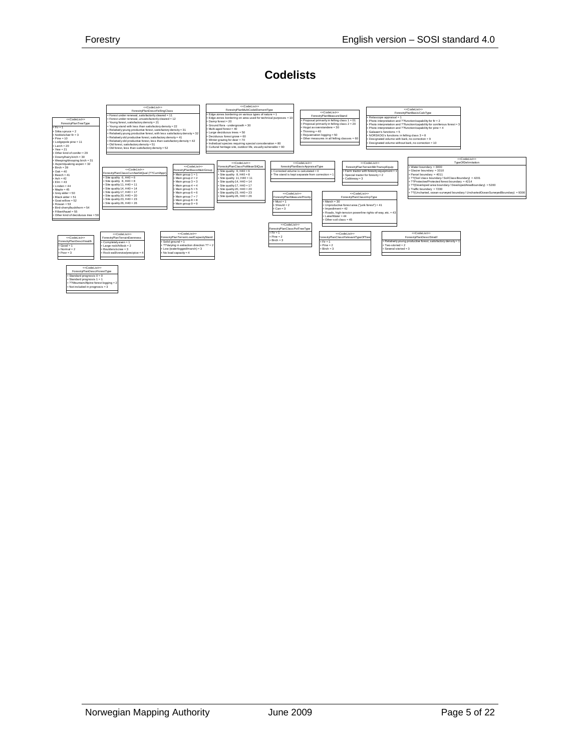## **Codelists**

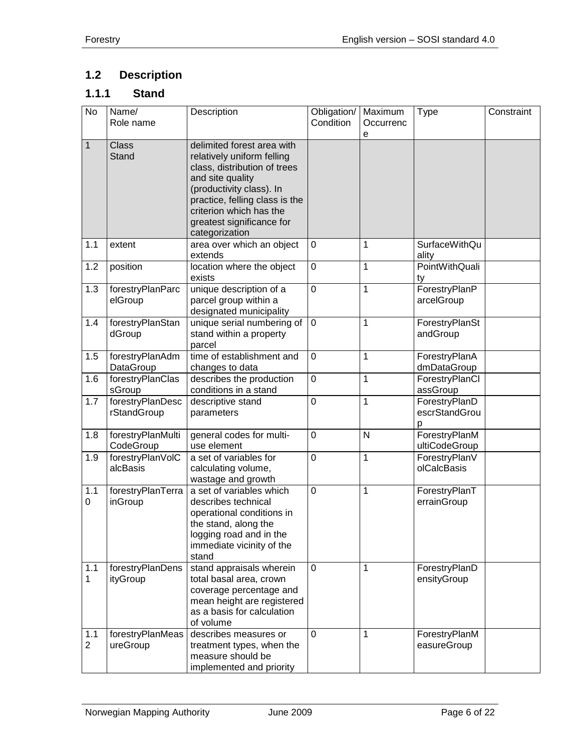## <span id="page-5-0"></span>**1.2 Description**

## <span id="page-5-1"></span>**1.1.1 Stand**

| $\overline{N}$          | Name/<br>Role name              | Description                                                                                                                                                                                                                                          | Obligation/<br>Condition | Maximum<br>Occurrenc<br>е | <b>Type</b>                         | Constraint |
|-------------------------|---------------------------------|------------------------------------------------------------------------------------------------------------------------------------------------------------------------------------------------------------------------------------------------------|--------------------------|---------------------------|-------------------------------------|------------|
| $\mathbf{1}$            | <b>Class</b><br>Stand           | delimited forest area with<br>relatively uniform felling<br>class, distribution of trees<br>and site quality<br>(productivity class). In<br>practice, felling class is the<br>criterion which has the<br>greatest significance for<br>categorization |                          |                           |                                     |            |
| 1.1                     | extent                          | area over which an object<br>extends                                                                                                                                                                                                                 | $\mathbf 0$              | 1                         | <b>SurfaceWithQu</b><br>ality       |            |
| 1.2                     | position                        | location where the object<br>exists                                                                                                                                                                                                                  | $\mathbf 0$              | 1                         | PointWithQuali<br>ty                |            |
| $1.3$                   | forestryPlanParc<br>elGroup     | unique description of a<br>parcel group within a<br>designated municipality                                                                                                                                                                          | $\mathbf 0$              | 1                         | ForestryPlanP<br>arcelGroup         |            |
| 1.4                     | forestryPlanStan<br>dGroup      | unique serial numbering of<br>stand within a property<br>parcel                                                                                                                                                                                      | 0                        | 1                         | ForestryPlanSt<br>andGroup          |            |
| 1.5                     | forestryPlanAdm<br>DataGroup    | time of establishment and<br>changes to data                                                                                                                                                                                                         | $\mathbf 0$              | 1                         | ForestryPlanA<br>dmDataGroup        |            |
| 1.6                     | forestryPlanClas<br>sGroup      | describes the production<br>conditions in a stand                                                                                                                                                                                                    | $\mathbf 0$              | 1                         | ForestryPlanCl<br>assGroup          |            |
| 1.7                     | forestryPlanDesc<br>rStandGroup | descriptive stand<br>parameters                                                                                                                                                                                                                      | 0                        | 1                         | ForestryPlanD<br>escrStandGrou<br>р |            |
| 1.8                     | forestryPlanMulti<br>CodeGroup  | general codes for multi-<br>use element                                                                                                                                                                                                              | $\mathbf 0$              | N                         | ForestryPlanM<br>ultiCodeGroup      |            |
| 1.9                     | forestryPlanVolC<br>alcBasis    | a set of variables for<br>calculating volume,<br>wastage and growth                                                                                                                                                                                  | $\mathbf 0$              | 1                         | ForestryPlanV<br>olCalcBasis        |            |
| 1.1<br>$\boldsymbol{0}$ | forestryPlanTerra<br>inGroup    | a set of variables which<br>describes technical<br>operational conditions in<br>the stand, along the<br>logging road and in the<br>immediate vicinity of the<br>stand                                                                                | 0                        | 1                         | ForestryPlanT<br>errainGroup        |            |
| 1.1<br>1                | forestryPlanDens<br>ityGroup    | stand appraisals wherein<br>total basal area, crown<br>coverage percentage and<br>mean height are registered<br>as a basis for calculation<br>of volume                                                                                              | 0                        | 1                         | ForestryPlanD<br>ensityGroup        |            |
| 1.1<br>$\overline{2}$   | forestryPlanMeas<br>ureGroup    | describes measures or<br>treatment types, when the<br>measure should be<br>implemented and priority                                                                                                                                                  | 0                        | 1                         | ForestryPlanM<br>easureGroup        |            |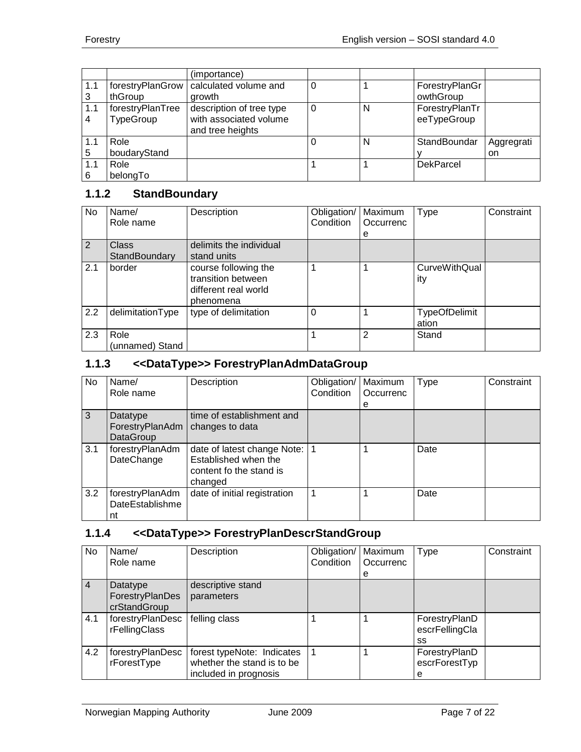|     |                  | (importance)                             |   |   |                  |            |
|-----|------------------|------------------------------------------|---|---|------------------|------------|
| 1.1 |                  | forestryPlanGrow   calculated volume and |   |   | ForestryPlanGr   |            |
| 3   | thGroup          | growth                                   |   |   | owthGroup        |            |
| 1.1 | forestryPlanTree | description of tree type                 | 0 | N | ForestryPlanTr   |            |
| 4   | <b>TypeGroup</b> | with associated volume                   |   |   | eeTypeGroup      |            |
|     |                  | and tree heights                         |   |   |                  |            |
| 1.1 | Role             |                                          |   | N | StandBoundar     | Aggregrati |
| 5   | boudaryStand     |                                          |   |   |                  | <b>on</b>  |
| 1.1 | Role             |                                          |   |   | <b>DekParcel</b> |            |
| 6   | belongTo         |                                          |   |   |                  |            |

#### <span id="page-6-0"></span>**1.1.2 StandBoundary**

| No  | Name/<br>Role name            | Description                                                                     | Obligation/<br>Condition | Maximum<br>Occurrenc | <b>Type</b>                   | Constraint |
|-----|-------------------------------|---------------------------------------------------------------------------------|--------------------------|----------------------|-------------------------------|------------|
|     |                               |                                                                                 |                          | е                    |                               |            |
| 2   | <b>Class</b><br>StandBoundary | delimits the individual<br>stand units                                          |                          |                      |                               |            |
| 2.1 | border                        | course following the<br>transition between<br>different real world<br>phenomena |                          |                      | <b>CurveWithQual</b><br>ity   |            |
| 2.2 | delimitationType              | type of delimitation                                                            | 0                        |                      | <b>TypeOfDelimit</b><br>ation |            |
| 2.3 | Role<br>(unnamed) Stand       |                                                                                 |                          | 2                    | Stand                         |            |

## <span id="page-6-1"></span>**1.1.3 <<DataType>> ForestryPlanAdmDataGroup**

| No. | Name/<br>Role name                       | Description                                                                                   | Obligation/<br>Condition | Maximum<br>Occurrenc | <b>Type</b> | Constraint |
|-----|------------------------------------------|-----------------------------------------------------------------------------------------------|--------------------------|----------------------|-------------|------------|
|     |                                          |                                                                                               |                          | е                    |             |            |
| 3   | Datatype<br>ForestryPlanAdm<br>DataGroup | time of establishment and<br>changes to data                                                  |                          |                      |             |            |
| 3.1 | forestryPlanAdm<br>DateChange            | date of latest change Note:   1<br>Established when the<br>content fo the stand is<br>changed |                          |                      | Date        |            |
| 3.2 | forestryPlanAdm<br>DateEstablishme<br>nt | date of initial registration                                                                  |                          |                      | Date        |            |

#### <span id="page-6-2"></span>**1.1.4 <<DataType>> ForestryPlanDescrStandGroup**

| No.            | Name/<br>Role name                          | Description                                                                                          | Obligation/<br>Condition | Maximum<br>Occurrenc<br>e | Type                                  | Constraint |
|----------------|---------------------------------------------|------------------------------------------------------------------------------------------------------|--------------------------|---------------------------|---------------------------------------|------------|
| $\overline{4}$ | Datatype<br>ForestryPlanDes<br>crStandGroup | descriptive stand<br>parameters                                                                      |                          |                           |                                       |            |
| 4.1            | forestryPlanDesc<br>rFellingClass           | felling class                                                                                        |                          |                           | ForestryPlanD<br>escrFellingCla<br>SS |            |
| 4.2            | rForestType                                 | forestryPlanDesc   forest typeNote: Indicates<br>whether the stand is to be<br>included in prognosis |                          |                           | ForestryPlanD<br>escrForestTyp<br>е   |            |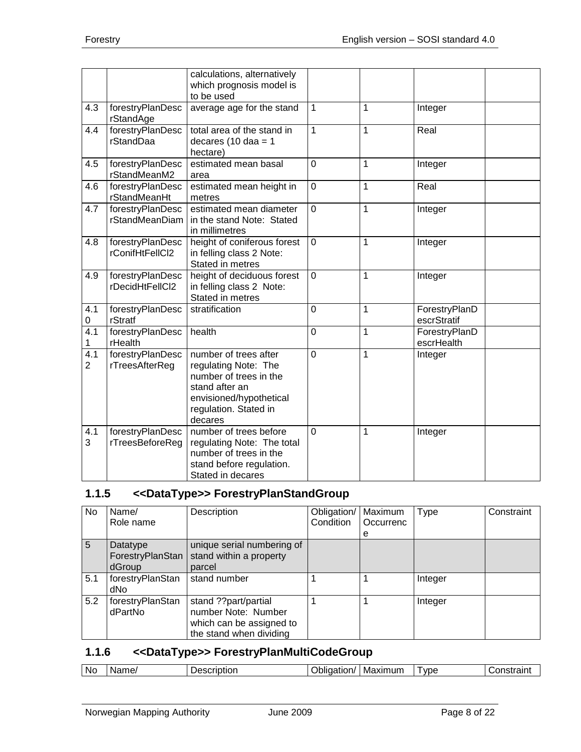|                       |                                           | calculations, alternatively<br>which prognosis model is<br>to be used                                                                                    |                |                |                              |
|-----------------------|-------------------------------------------|----------------------------------------------------------------------------------------------------------------------------------------------------------|----------------|----------------|------------------------------|
| 4.3                   | forestryPlanDesc<br>rStandAge             | average age for the stand                                                                                                                                | $\mathbf{1}$   | 1              | Integer                      |
| 4.4                   | forestryPlanDesc<br>rStandDaa             | total area of the stand in<br>decares $(10 \text{ da} = 1)$<br>hectare)                                                                                  | $\mathbf{1}$   | 1              | Real                         |
| 4.5                   | forestryPlanDesc<br>rStandMeanM2          | estimated mean basal<br>area                                                                                                                             | $\overline{0}$ | 1              | Integer                      |
| 4.6                   | forestryPlanDesc<br>rStandMeanHt          | estimated mean height in<br>metres                                                                                                                       | $\overline{0}$ | 1              | Real                         |
| 4.7                   | forestryPlanDesc<br><b>rStandMeanDiam</b> | estimated mean diameter<br>in the stand Note: Stated<br>in millimetres                                                                                   | $\mathbf 0$    | 1              | Integer                      |
| 4.8                   | forestryPlanDesc<br>rConifHtFellCl2       | height of coniferous forest<br>in felling class 2 Note:<br>Stated in metres                                                                              | $\mathbf 0$    | $\overline{1}$ | Integer                      |
| 4.9                   | forestryPlanDesc<br>rDecidHtFellCl2       | height of deciduous forest<br>in felling class 2 Note:<br>Stated in metres                                                                               | $\mathbf 0$    | 1              | Integer                      |
| 4.1<br>0              | forestryPlanDesc<br>rStratf               | stratification                                                                                                                                           | $\overline{0}$ | 1              | ForestryPlanD<br>escrStratif |
| 4.1<br>1              | forestryPlanDesc<br>rHealth               | health                                                                                                                                                   | $\overline{0}$ | 1              | ForestryPlanD<br>escrHealth  |
| 4.1<br>$\overline{2}$ | forestryPlanDesc<br>rTreesAfterReg        | number of trees after<br>regulating Note: The<br>number of trees in the<br>stand after an<br>envisioned/hypothetical<br>regulation. Stated in<br>decares | $\overline{0}$ | 1              | Integer                      |
| 4.1<br>3              | forestryPlanDesc<br>rTreesBeforeReg       | number of trees before<br>regulating Note: The total<br>number of trees in the<br>stand before regulation.<br>Stated in decares                          | $\Omega$       | 1              | Integer                      |

## <span id="page-7-0"></span>**1.1.5 <<DataType>> ForestryPlanStandGroup**

| No. | Name/<br>Role name                     | Description                                                                                        | Obligation/<br>Condition | Maximum<br>Occurrenc<br>e | Type    | Constraint |
|-----|----------------------------------------|----------------------------------------------------------------------------------------------------|--------------------------|---------------------------|---------|------------|
| 5   | Datatype<br>ForestryPlanStan<br>dGroup | unique serial numbering of<br>stand within a property<br>parcel                                    |                          |                           |         |            |
| 5.1 | forestryPlanStan<br>dNo                | stand number                                                                                       |                          |                           | Integer |            |
| 5.2 | forestryPlanStan<br>dPartNo            | stand ??part/partial<br>number Note: Number<br>which can be assigned to<br>the stand when dividing |                          |                           | Integer |            |

## <span id="page-7-1"></span>**1.1.6 <<DataType>> ForestryPlanMultiCodeGroup**

| N0<br>ame.<br>----<br>N.<br>וסווסוי -<br>יםו | Maximum<br>VDE<br>------<br>וור<br>пов<br>. ו הו | $-11221$ |
|----------------------------------------------|--------------------------------------------------|----------|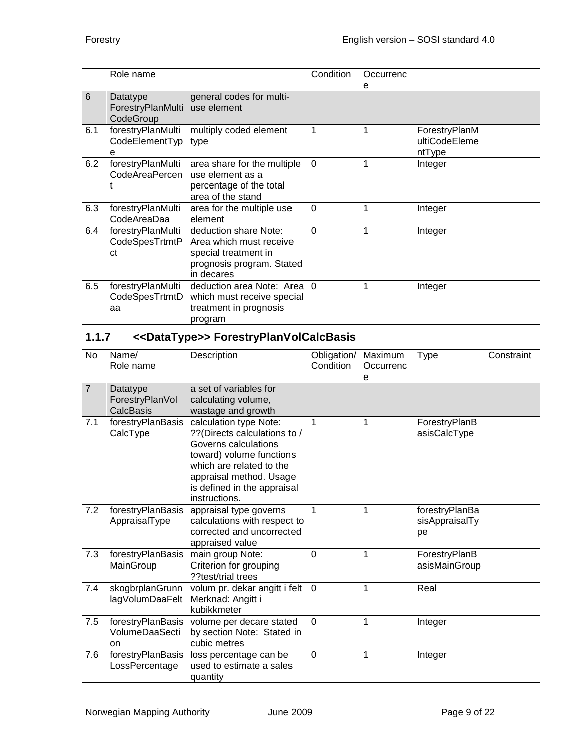|     | Role name                                  |                                                                                                                     | Condition   | Occurrenc<br>е |                                          |  |
|-----|--------------------------------------------|---------------------------------------------------------------------------------------------------------------------|-------------|----------------|------------------------------------------|--|
| 6   | Datatype<br>ForestryPlanMulti<br>CodeGroup | general codes for multi-<br>use element                                                                             |             |                |                                          |  |
| 6.1 | forestryPlanMulti<br>CodeElementTyp<br>е   | multiply coded element<br>type                                                                                      | 1           | 1              | ForestryPlanM<br>ultiCodeEleme<br>ntType |  |
| 6.2 | forestryPlanMulti<br>CodeAreaPercen        | area share for the multiple<br>use element as a<br>percentage of the total<br>area of the stand                     | $\Omega$    | 1              | Integer                                  |  |
| 6.3 | forestryPlanMulti<br>CodeAreaDaa           | area for the multiple use<br>element                                                                                | $\Omega$    | 1              | Integer                                  |  |
| 6.4 | forestryPlanMulti<br>CodeSpesTrtmtP<br>ct  | deduction share Note:<br>Area which must receive<br>special treatment in<br>prognosis program. Stated<br>in decares | $\mathbf 0$ | 1              | Integer                                  |  |
| 6.5 | forestryPlanMulti<br>CodeSpesTrtmtD<br>aa  | deduction area Note: Area   0<br>which must receive special<br>treatment in prognosis<br>program                    |             | 1              | Integer                                  |  |

# <span id="page-8-0"></span>**1.1.7 <<DataType>> ForestryPlanVolCalcBasis**

| <b>No</b>      | Name/<br>Role name                               | Description                                                                                                                                                                                                        | Obligation/<br>Condition | Maximum<br>Occurrenc<br>е | Type                                   | Constraint |
|----------------|--------------------------------------------------|--------------------------------------------------------------------------------------------------------------------------------------------------------------------------------------------------------------------|--------------------------|---------------------------|----------------------------------------|------------|
| $\overline{7}$ | Datatype<br>ForestryPlanVol<br>CalcBasis         | a set of variables for<br>calculating volume,<br>wastage and growth                                                                                                                                                |                          |                           |                                        |            |
| 7.1            | forestryPlanBasis<br>CalcType                    | calculation type Note:<br>?? (Directs calculations to /<br>Governs calculations<br>toward) volume functions<br>which are related to the<br>appraisal method. Usage<br>is defined in the appraisal<br>instructions. | 1                        | 1                         | ForestryPlanB<br>asisCalcType          |            |
| 7.2            | forestryPlanBasis<br>AppraisalType               | appraisal type governs<br>calculations with respect to<br>corrected and uncorrected<br>appraised value                                                                                                             | 1                        | 1                         | forestryPlanBa<br>sisAppraisalTy<br>pe |            |
| 7.3            | forestryPlanBasis<br>MainGroup                   | main group Note:<br>Criterion for grouping<br>??test/trial trees                                                                                                                                                   | $\overline{0}$           | 1                         | ForestryPlanB<br>asisMainGroup         |            |
| 7.4            | skogbrplanGrunn<br>lagVolumDaaFelt               | volum pr. dekar angitt i felt<br>Merknad: Angitt i<br>kubikkmeter                                                                                                                                                  | $\mathbf 0$              | 1                         | Real                                   |            |
| 7.5            | forestryPlanBasis<br><b>VolumeDaaSecti</b><br>on | volume per decare stated<br>by section Note: Stated in<br>cubic metres                                                                                                                                             | $\Omega$                 | 1                         | Integer                                |            |
| 7.6            | forestryPlanBasis<br>LossPercentage              | loss percentage can be<br>used to estimate a sales<br>quantity                                                                                                                                                     | $\mathbf 0$              | 1                         | Integer                                |            |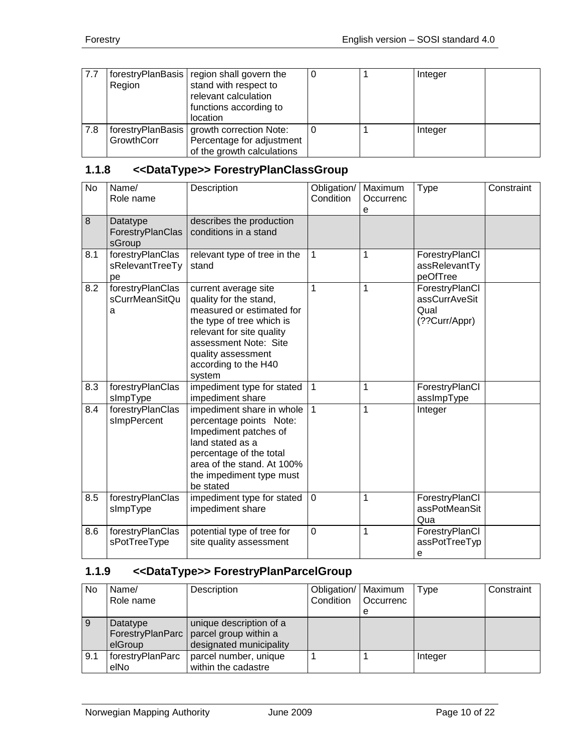| 17.7 |            | forestryPlanBasis   region shall govern the                                                            |  | Integer |  |
|------|------------|--------------------------------------------------------------------------------------------------------|--|---------|--|
|      | Region     | stand with respect to<br>relevant calculation<br>functions according to<br>location                    |  |         |  |
| 7.8  | GrowthCorr | forestryPlanBasis   growth correction Note:<br>Percentage for adjustment<br>of the growth calculations |  | Integer |  |

#### <span id="page-9-0"></span>**1.1.8 <<DataType>> ForestryPlanClassGroup**

| <b>No</b> | Name/<br>Role name                        | Description                                                                                                                                                                                                            | Obligation/<br>Condition | Maximum<br>Occurrenc<br>е | <b>Type</b>                                              | Constraint |
|-----------|-------------------------------------------|------------------------------------------------------------------------------------------------------------------------------------------------------------------------------------------------------------------------|--------------------------|---------------------------|----------------------------------------------------------|------------|
| 8         | Datatype<br>ForestryPlanClas<br>sGroup    | describes the production<br>conditions in a stand                                                                                                                                                                      |                          |                           |                                                          |            |
| 8.1       | forestryPlanClas<br>sRelevantTreeTy<br>pe | relevant type of tree in the<br>stand                                                                                                                                                                                  | 1                        | 1                         | ForestryPlanCl<br>assRelevantTy<br>peOfTree              |            |
| 8.2       | forestryPlanClas<br>sCurrMeanSitQu<br>а   | current average site<br>quality for the stand,<br>measured or estimated for<br>the type of tree which is<br>relevant for site quality<br>assessment Note: Site<br>quality assessment<br>according to the H40<br>system | 1                        | 1                         | ForestryPlanCl<br>assCurrAveSit<br>Qual<br>(??Curr/Appr) |            |
| 8.3       | forestryPlanClas<br>sImpType              | impediment type for stated<br>impediment share                                                                                                                                                                         | 1                        | 1                         | ForestryPlanCl<br>assImpType                             |            |
| 8.4       | forestryPlanClas<br>sImpPercent           | impediment share in whole<br>percentage points Note:<br>Impediment patches of<br>land stated as a<br>percentage of the total<br>area of the stand. At 100%<br>the impediment type must<br>be stated                    | 1                        | 1                         | Integer                                                  |            |
| 8.5       | forestryPlanClas<br>sImpType              | impediment type for stated<br>impediment share                                                                                                                                                                         | 0                        | 1                         | ForestryPlanCl<br>assPotMeanSit<br>Qua                   |            |
| 8.6       | forestryPlanClas<br>sPotTreeType          | potential type of tree for<br>site quality assessment                                                                                                                                                                  | $\mathbf 0$              | 1                         | ForestryPlanCl<br>assPotTreeTyp<br>e                     |            |

## <span id="page-9-1"></span>**1.1.9 <<DataType>> ForestryPlanParcelGroup**

| No  | Name/<br>Role name       | Description                                                                                    | Obligation/   Maximum<br>Condition | <b>Occurrenc</b> | Type    | Constraint |
|-----|--------------------------|------------------------------------------------------------------------------------------------|------------------------------------|------------------|---------|------------|
|     |                          |                                                                                                |                                    | e                |         |            |
| 9   | Datatype<br>elGroup      | unique description of a<br>ForestryPlanParc   parcel group within a<br>designated municipality |                                    |                  |         |            |
| 9.1 | forestryPlanParc<br>elNo | parcel number, unique<br>within the cadastre                                                   |                                    |                  | Integer |            |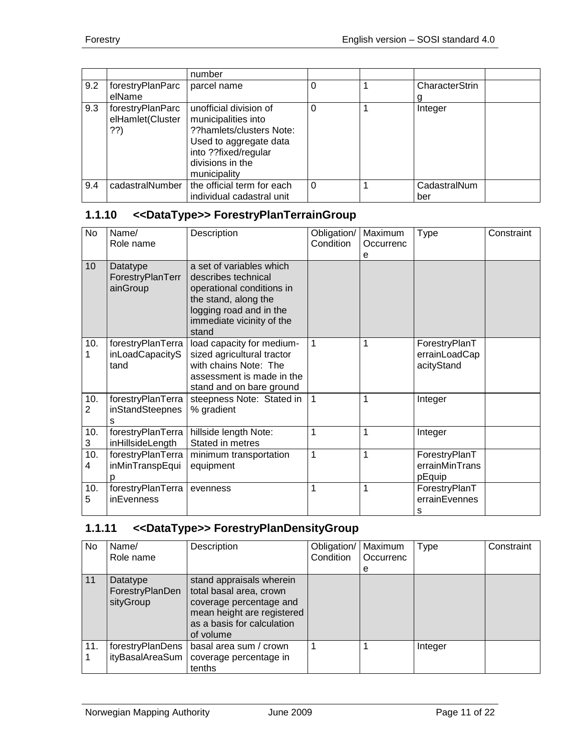|     |                                             | number                                                                                                                                                          |          |                     |
|-----|---------------------------------------------|-----------------------------------------------------------------------------------------------------------------------------------------------------------------|----------|---------------------|
| 9.2 | forestryPlanParc<br>elName                  | parcel name                                                                                                                                                     | 0        | CharacterStrin      |
| 9.3 | forestryPlanParc<br>elHamlet(Cluster<br>??) | unofficial division of<br>municipalities into<br>??hamlets/clusters Note:<br>Used to aggregate data<br>into ??fixed/regular<br>divisions in the<br>municipality |          | Integer             |
| 9.4 | cadastralNumber                             | the official term for each<br>individual cadastral unit                                                                                                         | $\Omega$ | CadastralNum<br>ber |

#### <span id="page-10-0"></span>**1.1.10 <<DataType>> ForestryPlanTerrainGroup**

| No       | Name/<br>Role name                           | Description                                                                                                                                                           | Obligation/<br>Condition | Maximum<br>Occurrenc<br>е | <b>Type</b>                                  | Constraint |
|----------|----------------------------------------------|-----------------------------------------------------------------------------------------------------------------------------------------------------------------------|--------------------------|---------------------------|----------------------------------------------|------------|
| 10       | Datatype<br>ForestryPlanTerr<br>ainGroup     | a set of variables which<br>describes technical<br>operational conditions in<br>the stand, along the<br>logging road and in the<br>immediate vicinity of the<br>stand |                          |                           |                                              |            |
| 10.<br>1 | forestryPlanTerra<br>inLoadCapacityS<br>tand | load capacity for medium-<br>sized agricultural tractor<br>with chains Note: The<br>assessment is made in the<br>stand and on bare ground                             | 1                        | 1                         | ForestryPlanT<br>errainLoadCap<br>acityStand |            |
| 10.<br>2 | forestryPlanTerra<br>inStandSteepnes<br>s    | steepness Note: Stated in<br>% gradient                                                                                                                               | 1                        | 1                         | Integer                                      |            |
| 10.<br>3 | forestryPlanTerra<br>inHillsideLength        | hillside length Note:<br>Stated in metres                                                                                                                             | 1                        | 1                         | Integer                                      |            |
| 10.<br>4 | forestryPlanTerra<br>inMinTranspEqui         | minimum transportation<br>equipment                                                                                                                                   | 1                        | 1                         | ForestryPlanT<br>errainMinTrans<br>pEquip    |            |
| 10.<br>5 | forestryPlanTerra<br>inEvenness              | evenness                                                                                                                                                              | 1                        | 1                         | ForestryPlanT<br>errainEvennes<br>s          |            |

## <span id="page-10-1"></span>**1.1.11 <<DataType>> ForestryPlanDensityGroup**

| No  | Name/<br>Role name                       | Description                                                                                                                                             | Obligation/   Maximum<br>Condition | Occurrenc<br>е | Type    | Constraint |
|-----|------------------------------------------|---------------------------------------------------------------------------------------------------------------------------------------------------------|------------------------------------|----------------|---------|------------|
| 11  | Datatype<br>ForestryPlanDen<br>sityGroup | stand appraisals wherein<br>total basal area, crown<br>coverage percentage and<br>mean height are registered<br>as a basis for calculation<br>of volume |                                    |                |         |            |
| 11. | forestryPlanDens<br>ityBasalAreaSum      | basal area sum / crown<br>coverage percentage in<br>tenths                                                                                              |                                    |                | Integer |            |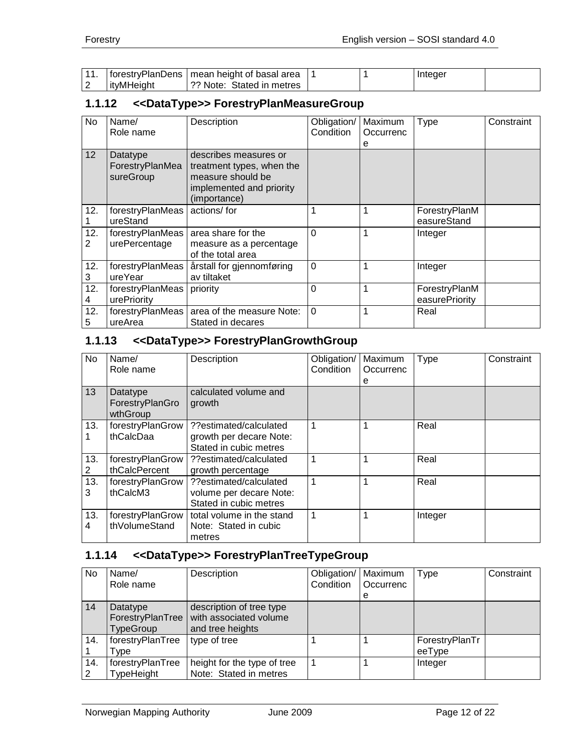|              | 11.   forestryPlanDens   mean height of basal area |  | Integer |  |
|--------------|----------------------------------------------------|--|---------|--|
| l itvMHeiaht | 3? Note: Stated in metres                          |  |         |  |

#### <span id="page-11-0"></span>**1.1.12 <<DataType>> ForestryPlanMeasureGroup**

| <b>No</b> | Name/<br>Role name                       | Description                                                                                                         | Obligation/<br>Condition | Maximum<br>Occurrenc<br>е | Type                            | Constraint |
|-----------|------------------------------------------|---------------------------------------------------------------------------------------------------------------------|--------------------------|---------------------------|---------------------------------|------------|
| 12        | Datatype<br>ForestryPlanMea<br>sureGroup | describes measures or<br>treatment types, when the<br>measure should be<br>implemented and priority<br>(importance) |                          |                           |                                 |            |
| 12.       | forestryPlanMeas<br>ureStand             | actions/for                                                                                                         |                          |                           | ForestryPlanM<br>easureStand    |            |
| 12.<br>2  | forestryPlanMeas<br>urePercentage        | area share for the<br>measure as a percentage<br>of the total area                                                  | $\Omega$                 |                           | Integer                         |            |
| 12.<br>3  | forestryPlanMeas<br>ureYear              | årstall for gjennomføring<br>av tiltaket                                                                            | $\Omega$                 |                           | Integer                         |            |
| 12.<br>4  | forestryPlanMeas<br>urePriority          | priority                                                                                                            | 0                        | 1                         | ForestryPlanM<br>easurePriority |            |
| 12.<br>5  | forestryPlanMeas<br>ureArea              | area of the measure Note:<br>Stated in decares                                                                      | $\Omega$                 |                           | Real                            |            |

#### <span id="page-11-1"></span>**1.1.13 <<DataType>> ForestryPlanGrowthGroup**

| No       | Name/<br>Role name                      | Description                                                                 | Obligation/<br>Condition | Maximum<br>Occurrenc<br>е | Type    | Constraint |
|----------|-----------------------------------------|-----------------------------------------------------------------------------|--------------------------|---------------------------|---------|------------|
| 13       | Datatype<br>ForestryPlanGro<br>wthGroup | calculated volume and<br>growth                                             |                          |                           |         |            |
| 13.      | forestryPlanGrow<br>thCalcDaa           | ??estimated/calculated<br>growth per decare Note:<br>Stated in cubic metres | 1                        |                           | Real    |            |
| 13.<br>2 | forestryPlanGrow<br>thCalcPercent       | ??estimated/calculated<br>growth percentage                                 | 1                        |                           | Real    |            |
| 13.<br>3 | forestryPlanGrow<br>thCalcM3            | ??estimated/calculated<br>volume per decare Note:<br>Stated in cubic metres | 1                        |                           | Real    |            |
| 13.<br>4 | forestryPlanGrow<br>thVolumeStand       | total volume in the stand<br>Note: Stated in cubic<br>metres                | 1                        |                           | Integer |            |

#### <span id="page-11-2"></span>**1.1.14 <<DataType>> ForestryPlanTreeTypeGroup**

| <b>No</b> | Name/<br>Role name                               | Description                                                            | Obligation/<br>Condition | Maximum<br>Occurrenc<br>e | <b>Type</b>              | Constraint |
|-----------|--------------------------------------------------|------------------------------------------------------------------------|--------------------------|---------------------------|--------------------------|------------|
| 14        | Datatype<br>ForestryPlanTree<br><b>TypeGroup</b> | description of tree type<br>with associated volume<br>and tree heights |                          |                           |                          |            |
| 14.       | forestryPlanTree<br><b>Type</b>                  | type of tree                                                           |                          |                           | ForestryPlanTr<br>eeType |            |
| 14.<br>2  | forestryPlanTree<br>TypeHeight                   | height for the type of tree<br>Note: Stated in metres                  |                          |                           | Integer                  |            |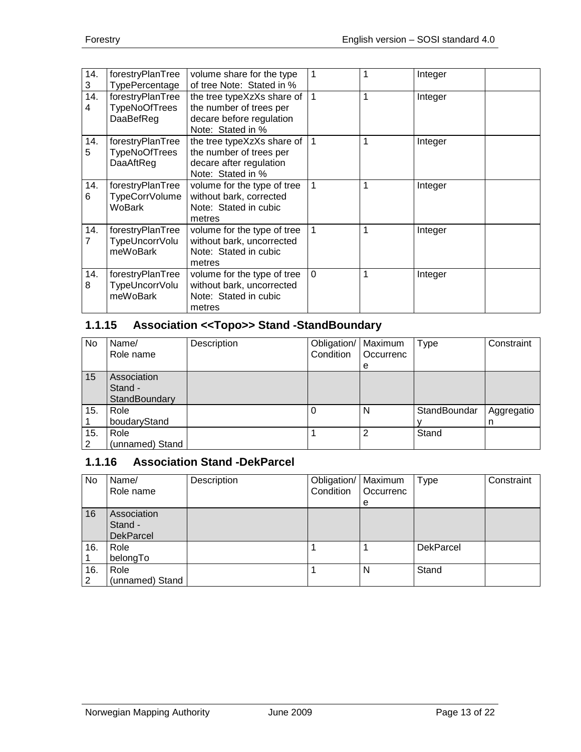| 14.<br>3 | forestryPlanTree<br>TypePercentage                    | volume share for the type<br>of tree Note: Stated in %                                                            | 1              |   | Integer |  |
|----------|-------------------------------------------------------|-------------------------------------------------------------------------------------------------------------------|----------------|---|---------|--|
| 14.<br>4 | forestryPlanTree<br><b>TypeNoOfTrees</b><br>DaaBefReg | the tree type $XzXs$ share of $\vert$<br>the number of trees per<br>decare before regulation<br>Note: Stated in % | $\overline{1}$ | 1 | Integer |  |
| 14.<br>5 | forestryPlanTree<br><b>TypeNoOfTrees</b><br>DaaAftReg | the tree typeXzXs share of<br>the number of trees per<br>decare after regulation<br>Note: Stated in %             | 1              | 1 | Integer |  |
| 14.<br>6 | forestryPlanTree<br>TypeCorrVolume<br>WoBark          | volume for the type of tree<br>without bark, corrected<br>Note: Stated in cubic<br>metres                         | 1              | 1 | Integer |  |
| 14.<br>7 | forestryPlanTree<br>TypeUncorrVolu<br>meWoBark        | volume for the type of tree<br>without bark, uncorrected<br>Note: Stated in cubic<br>metres                       | $\mathbf{1}$   | 1 | Integer |  |
| 14.<br>8 | forestryPlanTree<br>TypeUncorrVolu<br>meWoBark        | volume for the type of tree<br>without bark, uncorrected<br>Note: Stated in cubic<br>metres                       | $\Omega$       | 1 | Integer |  |

#### <span id="page-12-0"></span>**1.1.15 Association <<Topo>> Stand -StandBoundary**

| No  | Name/           | Description | Obligation/   Maximum |           | Type         | Constraint |
|-----|-----------------|-------------|-----------------------|-----------|--------------|------------|
|     | Role name       |             | Condition             | Occurrenc |              |            |
|     |                 |             |                       | e         |              |            |
| 15  | Association     |             |                       |           |              |            |
|     | Stand -         |             |                       |           |              |            |
|     | StandBoundary   |             |                       |           |              |            |
| 15. | Role            |             |                       | N         | StandBoundar | Aggregatio |
|     | boudaryStand    |             |                       |           |              | n          |
| 15. | Role            |             |                       | 2         | Stand        |            |
| 2   | (unnamed) Stand |             |                       |           |              |            |

## <span id="page-12-1"></span>**1.1.16 Association Stand -DekParcel**

| No       | Name/<br>Role name                         | Description | Obligation/ Maximum<br>Condition | Occurrenc<br>e | <b>Type</b> | Constraint |
|----------|--------------------------------------------|-------------|----------------------------------|----------------|-------------|------------|
| 16       | Association<br>Stand -<br><b>DekParcel</b> |             |                                  |                |             |            |
| 16.      | Role<br>belongTo                           |             |                                  |                | DekParcel   |            |
| 16.<br>2 | Role<br>(unnamed) Stand                    |             |                                  | N              | Stand       |            |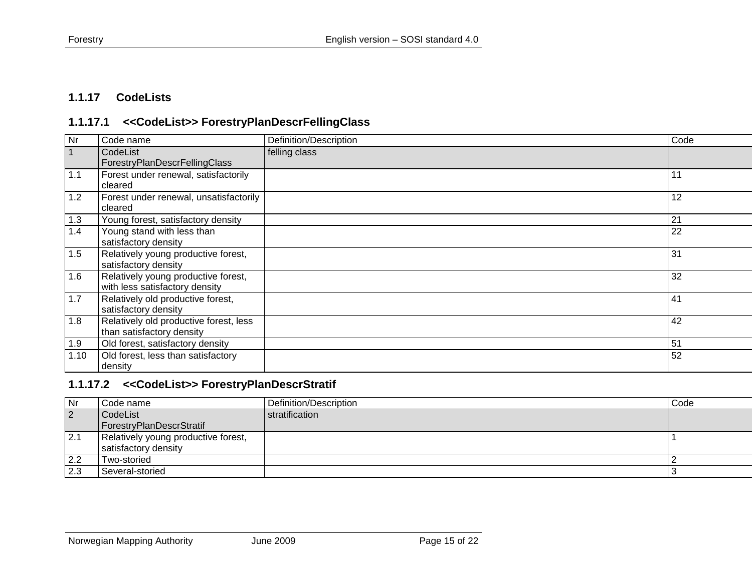#### **1.1.17 CodeLists**

#### **1.1.17.1 <<CodeList>> ForestryPlanDescrFellingClass**

| Nr   | Code name                              | Definition/Description | Code |
|------|----------------------------------------|------------------------|------|
|      | CodeList                               | felling class          |      |
|      | ForestryPlanDescrFellingClass          |                        |      |
| 1.1  | Forest under renewal, satisfactorily   |                        | 11   |
|      | cleared                                |                        |      |
| 1.2  | Forest under renewal, unsatisfactorily |                        | 12   |
|      | cleared                                |                        |      |
| 1.3  | Young forest, satisfactory density     |                        | 21   |
| 1.4  | Young stand with less than             |                        | 22   |
|      | satisfactory density                   |                        |      |
| 1.5  | Relatively young productive forest,    |                        | 31   |
|      | satisfactory density                   |                        |      |
| 1.6  | Relatively young productive forest,    |                        | 32   |
|      | with less satisfactory density         |                        |      |
| 1.7  | Relatively old productive forest,      |                        | 41   |
|      | satisfactory density                   |                        |      |
| 1.8  | Relatively old productive forest, less |                        | 42   |
|      | than satisfactory density              |                        |      |
| 1.9  | Old forest, satisfactory density       |                        | 51   |
| 1.10 | Old forest, less than satisfactory     |                        | 52   |
|      | density                                |                        |      |

#### <span id="page-14-1"></span><span id="page-14-0"></span>**1.1.17.2 <<CodeList>> ForestryPlanDescrStratif**

<span id="page-14-2"></span>

| Nr             | Code name                           | Definition/Description | Code |
|----------------|-------------------------------------|------------------------|------|
| $\overline{2}$ | CodeList                            | stratification         |      |
|                | ForestryPlanDescrStratif            |                        |      |
| 2.1            | Relatively young productive forest, |                        |      |
|                | satisfactory density                |                        |      |
| 2.2            | Two-storied                         |                        |      |
| 2.3            | Several-storied                     |                        |      |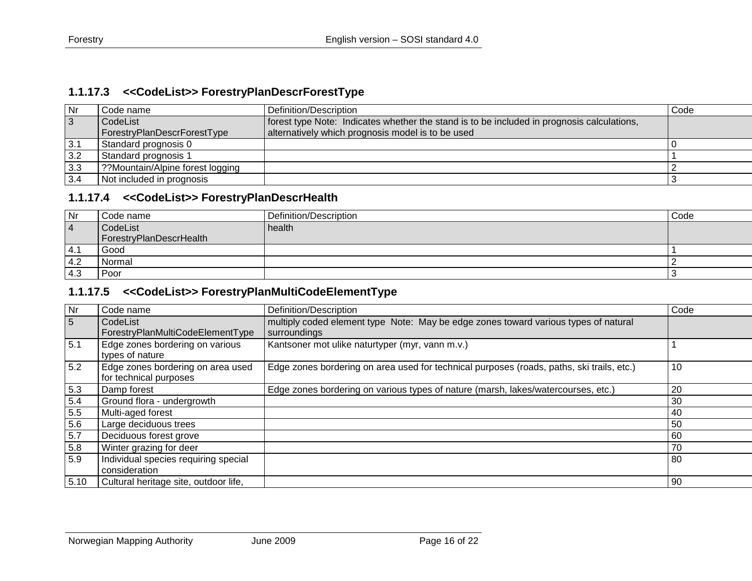#### **1.1.17.3 <<CodeList>> ForestryPlanDescrForestType**

| l Nr      | Code name                        | Definition/Description                                                                     | Code |
|-----------|----------------------------------|--------------------------------------------------------------------------------------------|------|
| $\vert$ 3 | CodeList                         | forest type Note: Indicates whether the stand is to be included in prognosis calculations, |      |
|           | ForestryPlanDescrForestType      | alternatively which prognosis model is to be used                                          |      |
| 3.1       | Standard prognosis 0             |                                                                                            |      |
| 3.2       | Standard prognosis 1             |                                                                                            |      |
| 3.3       | ??Mountain/Alpine forest logging |                                                                                            |      |
| 3.4       | Not included in prognosis        |                                                                                            |      |

#### **1.1.17.4 <<CodeList>> ForestryPlanDescrHealth**

| Nr        | Code name               | Definition/Description | Code |
|-----------|-------------------------|------------------------|------|
| $\vert$ 4 | CodeList                | health                 |      |
|           | ForestryPlanDescrHealth |                        |      |
| 4.1       | Good                    |                        |      |
| 4.2       | Normal                  |                        |      |
| 4.3       | Poor                    |                        |      |

#### <span id="page-15-0"></span>**1.1.17.5 <<CodeList>> ForestryPlanMultiCodeElementType**

<span id="page-15-2"></span><span id="page-15-1"></span>

| Nr             | Code name                             | Definition/Description                                                                    | Code |
|----------------|---------------------------------------|-------------------------------------------------------------------------------------------|------|
| 5 <sub>1</sub> | CodeList                              | multiply coded element type Note: May be edge zones toward various types of natural       |      |
|                | ForestryPlanMultiCodeElementType      | surroundings                                                                              |      |
| 5.1            | Edge zones bordering on various       | Kantsoner mot ulike naturtyper (myr, vann m.v.)                                           |      |
|                | types of nature                       |                                                                                           |      |
| 5.2            | Edge zones bordering on area used     | Edge zones bordering on area used for technical purposes (roads, paths, ski trails, etc.) | 10   |
|                | for technical purposes                |                                                                                           |      |
| 5.3            | Damp forest                           | Edge zones bordering on various types of nature (marsh, lakes/watercourses, etc.)         | 20   |
| 5.4            | Ground flora - undergrowth            |                                                                                           | 30   |
| 5.5            | Multi-aged forest                     |                                                                                           | -40  |
| 5.6            | Large deciduous trees                 |                                                                                           | 50   |
| 5.7            | Deciduous forest grove                |                                                                                           | 60   |
| 5.8            | Winter grazing for deer               |                                                                                           | 70   |
| 5.9            | Individual species requiring special  |                                                                                           | 80   |
|                | consideration                         |                                                                                           |      |
| 5.10           | Cultural heritage site, outdoor life, |                                                                                           | -90  |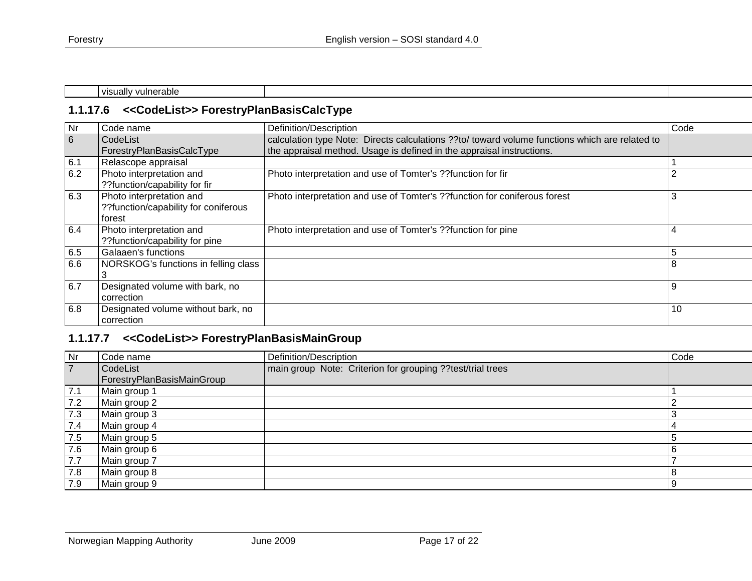| <b>MAIL</b><br>, Villner<br>المسترات المتعارض<br>-11 - |  |
|--------------------------------------------------------|--|
|                                                        |  |

#### **1.1.17.6 <<CodeList>> ForestryPlanBasisCalcType**

| Nr  | Code name                                                                  | Definition/Description                                                                         | Code   |
|-----|----------------------------------------------------------------------------|------------------------------------------------------------------------------------------------|--------|
| 6   | CodeList                                                                   | calculation type Note: Directs calculations ??to/ toward volume functions which are related to |        |
|     | ForestryPlanBasisCalcType                                                  | the appraisal method. Usage is defined in the appraisal instructions.                          |        |
| 6.1 | Relascope appraisal                                                        |                                                                                                |        |
| 6.2 | Photo interpretation and<br>??function/capability for fir                  | Photo interpretation and use of Tomter's ??function for fir                                    | ⌒<br>∠ |
| 6.3 | Photo interpretation and<br>??function/capability for coniferous<br>forest | Photo interpretation and use of Tomter's ??function for coniferous forest                      | 3      |
| 6.4 | Photo interpretation and<br>??function/capability for pine                 | Photo interpretation and use of Tomter's ?? function for pine                                  | 4      |
| 6.5 | Galaaen's functions                                                        |                                                                                                | 5      |
| 6.6 | NORSKOG's functions in felling class                                       |                                                                                                | 8      |
| 6.7 | Designated volume with bark, no<br>correction                              |                                                                                                | 9      |
| 6.8 | Designated volume without bark, no<br>correction                           |                                                                                                | 10     |

#### <span id="page-16-0"></span>**1.1.17.7 <<CodeList>> ForestryPlanBasisMainGroup**

<span id="page-16-1"></span>

| Nr             | Code name                  | Definition/Description                                     | Code |
|----------------|----------------------------|------------------------------------------------------------|------|
| $\overline{7}$ | CodeList                   | main group Note: Criterion for grouping ??test/trial trees |      |
|                | ForestryPlanBasisMainGroup |                                                            |      |
| 7.1            | Main group 1               |                                                            |      |
| 7.2            | Main group 2               |                                                            |      |
| 7.3            | Main group 3               |                                                            |      |
| 7.4            | Main group 4               |                                                            |      |
| 7.5            | Main group 5               |                                                            |      |
| 7.6            | Main group 6               |                                                            |      |
| 7.7            | Main group 7               |                                                            |      |
| 7.8            | Main group 8               |                                                            |      |
| 7.9            | Main group 9               |                                                            | -9   |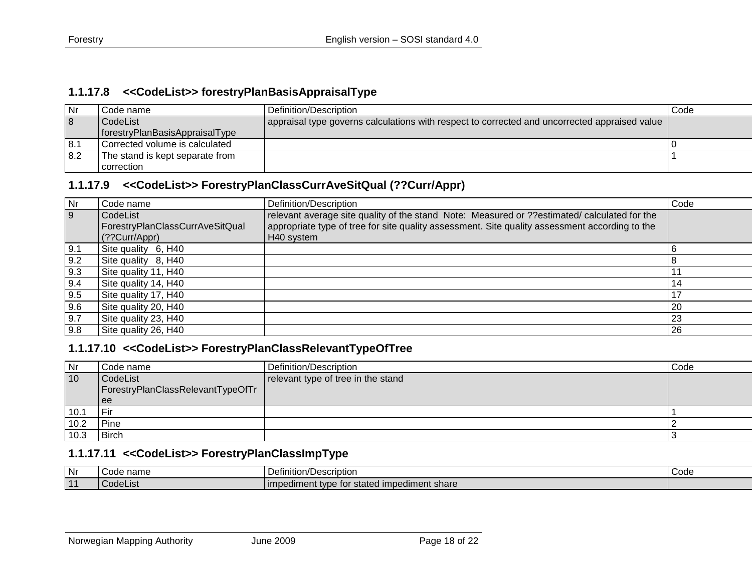#### **1.1.17.8 <<CodeList>> forestryPlanBasisAppraisalType**

| Nr  | Code name                       | Definition/Description                                                                        | Code |
|-----|---------------------------------|-----------------------------------------------------------------------------------------------|------|
| 8   | CodeList                        | appraisal type governs calculations with respect to corrected and uncorrected appraised value |      |
|     | forestryPlanBasisAppraisalType  |                                                                                               |      |
| 8.1 | Corrected volume is calculated  |                                                                                               |      |
| 8.2 | The stand is kept separate from |                                                                                               |      |
|     | l correction                    |                                                                                               |      |

#### **1.1.17.9 <<CodeList>> ForestryPlanClassCurrAveSitQual (??Curr/Appr)**

<span id="page-17-0"></span>

| Nr  | Code name                       | Definition/Description                                                                         | Code |
|-----|---------------------------------|------------------------------------------------------------------------------------------------|------|
| 9   | CodeList                        | relevant average site quality of the stand Note: Measured or ??estimated/ calculated for the   |      |
|     | ForestryPlanClassCurrAveSitQual | appropriate type of tree for site quality assessment. Site quality assessment according to the |      |
|     | (??Curr/Appr)                   | H40 system                                                                                     |      |
| 9.1 | Site quality 6, H40             |                                                                                                | 6    |
| 9.2 | Site quality 8, H40             |                                                                                                | 8    |
| 9.3 | Site quality 11, H40            |                                                                                                |      |
| 9.4 | Site quality 14, H40            |                                                                                                | 14   |
| 9.5 | Site quality 17, H40            |                                                                                                | 17   |
| 9.6 | Site quality 20, H40            |                                                                                                | 20   |
| 9.7 | Site quality 23, H40            |                                                                                                | 23   |
| 9.8 | Site quality 26, H40            |                                                                                                | 26   |

#### <span id="page-17-1"></span>**1.1.17.10 <<CodeList>> ForestryPlanClassRelevantTypeOfTree**

| Nr   | Code name                         | Definition/Description             | Code |
|------|-----------------------------------|------------------------------------|------|
| 10   | CodeList                          | relevant type of tree in the stand |      |
|      | ForestryPlanClassRelevantTypeOfTr |                                    |      |
|      | ee                                |                                    |      |
| 10.1 | Fir                               |                                    |      |
| 10.2 | Pine                              |                                    |      |
| 10.3 | <b>Birch</b>                      |                                    |      |

#### **1.1.17.11 <<CodeList>> ForestryPlanClassImpType**

<span id="page-17-3"></span><span id="page-17-2"></span>

| Nr              | name<br>nd.<br>- COUC | าition/Description<br>⊃efir ∂                 | Code |
|-----------------|-----------------------|-----------------------------------------------|------|
| $\overline{11}$ | CodeList              | I impediment type for stated impediment share |      |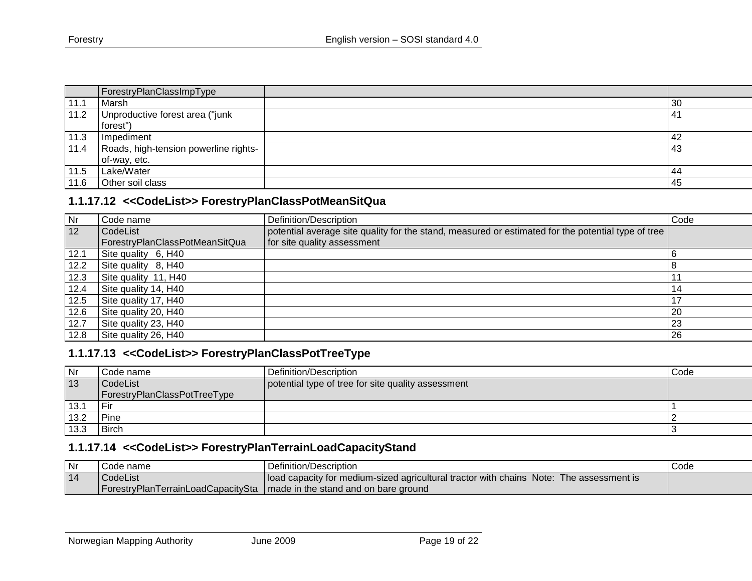|      | ForestryPlanClassImpType              |     |
|------|---------------------------------------|-----|
| 11.1 | Marsh                                 | 30  |
| 11.2 | Unproductive forest area ("junk       | 4,  |
|      | forest")                              |     |
| 11.3 | Impediment                            | -42 |
| 11.4 | Roads, high-tension powerline rights- | 43  |
|      | of-way, etc.                          |     |
| 11.5 | Lake/Water                            | 44  |
| 11.6 | Other soil class                      | 45  |

#### **1.1.17.12 <<CodeList>> ForestryPlanClassPotMeanSitQua**

| Nr   | Code name                      | Definition/Description                                                                             | Code |
|------|--------------------------------|----------------------------------------------------------------------------------------------------|------|
| 12   | CodeList                       | potential average site quality for the stand, measured or estimated for the potential type of tree |      |
|      | ForestryPlanClassPotMeanSitQua | for site quality assessment                                                                        |      |
| 12.1 | Site quality 6, H40            |                                                                                                    |      |
| 12.2 | Site quality 8, H40            |                                                                                                    |      |
| 12.3 | Site quality 11, H40           |                                                                                                    |      |
| 12.4 | Site quality 14, H40           |                                                                                                    | 14   |
| 12.5 | Site quality 17, H40           |                                                                                                    |      |
| 12.6 | Site quality 20, H40           |                                                                                                    | -20  |
| 12.7 | Site quality 23, H40           |                                                                                                    | 23   |
| 12.8 | Site quality 26, H40           |                                                                                                    | 26   |

#### **1.1.17.13 <<CodeList>> ForestryPlanClassPotTreeType**

<span id="page-18-0"></span>

| Nr   | Code name                    | Definition/Description                             | Code |
|------|------------------------------|----------------------------------------------------|------|
| 13   | CodeList                     | potential type of tree for site quality assessment |      |
|      | ForestryPlanClassPotTreeType |                                                    |      |
| 13.1 | Fir                          |                                                    |      |
| 13.2 | Pine                         |                                                    |      |
| 13.3 | <b>Birch</b>                 |                                                    |      |

#### **1.1.17.14 <<CodeList>> ForestryPlanTerrainLoadCapacityStand**

<span id="page-18-2"></span><span id="page-18-1"></span>

| Nr | Code name | <b>Definition/Description</b>                                                           | Code |
|----|-----------|-----------------------------------------------------------------------------------------|------|
| 14 | CodeList  | load capacity for medium-sized agricultural tractor with chains Note: The assessment is |      |
|    |           | ForestryPlanTerrainLoadCapacitySta   made in the stand and on bare ground               |      |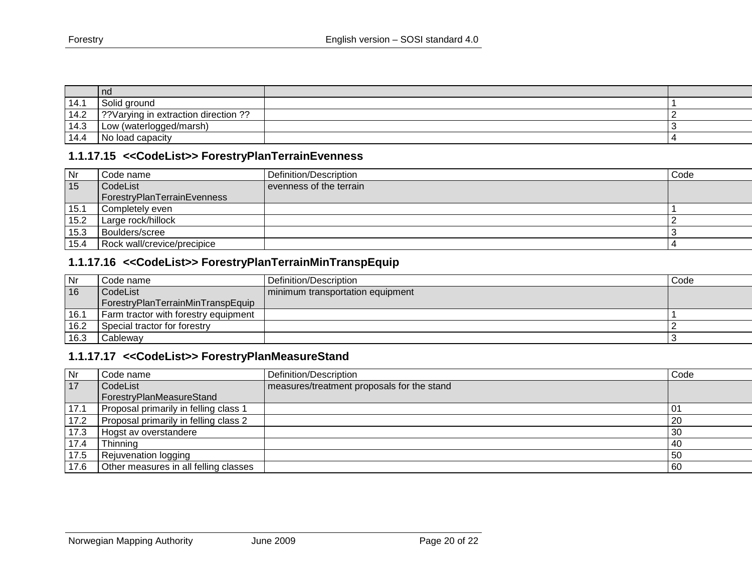|      | ∣ nd                                |  |
|------|-------------------------------------|--|
| 14.1 | Solid ground                        |  |
| 14.2 | ?? Varying in extraction direction? |  |
| 14.3 | Low (waterlogged/marsh)             |  |
| 14.4 | No load capacity                    |  |

#### **1.1.17.15 <<CodeList>> ForestryPlanTerrainEvenness**

| <b>Nr</b> | Code name                   | Definition/Description  | Code |
|-----------|-----------------------------|-------------------------|------|
| 15        | CodeList                    | evenness of the terrain |      |
|           | ForestryPlanTerrainEvenness |                         |      |
| 15.1      | Completely even             |                         |      |
| 15.2      | Large rock/hillock          |                         |      |
| 15.3      | Boulders/scree              |                         |      |
| 15.4      | Rock wall/crevice/precipice |                         |      |

#### **1.1.17.16 <<CodeList>> ForestryPlanTerrainMinTranspEquip**

| Nr   | Code name                            | Definition/Description           | Code |
|------|--------------------------------------|----------------------------------|------|
| 16   | CodeList                             | minimum transportation equipment |      |
|      | ForestryPlanTerrainMinTranspEquip    |                                  |      |
| 16.1 | Farm tractor with forestry equipment |                                  |      |
| 16.2 | Special tractor for forestry         |                                  |      |
| 16.3 | Cableway                             |                                  |      |

#### <span id="page-19-0"></span>**1.1.17.17 <<CodeList>> ForestryPlanMeasureStand**

<span id="page-19-2"></span><span id="page-19-1"></span>

| $\mathsf{N}$ r | Code name                             | Definition/Description                     | Code      |
|----------------|---------------------------------------|--------------------------------------------|-----------|
| 17             | CodeList                              | measures/treatment proposals for the stand |           |
|                | ForestryPlanMeasureStand              |                                            |           |
| 17.1           | Proposal primarily in felling class 1 |                                            |           |
| 17.2           | Proposal primarily in felling class 2 |                                            | -20       |
| 17.3           | Hogst av overstandere                 |                                            | 30        |
| 17.4           | <b>Thinning</b>                       |                                            | -40       |
| 17.5           | Rejuvenation logging                  |                                            | -50       |
| 17.6           | Other measures in all felling classes |                                            | <b>60</b> |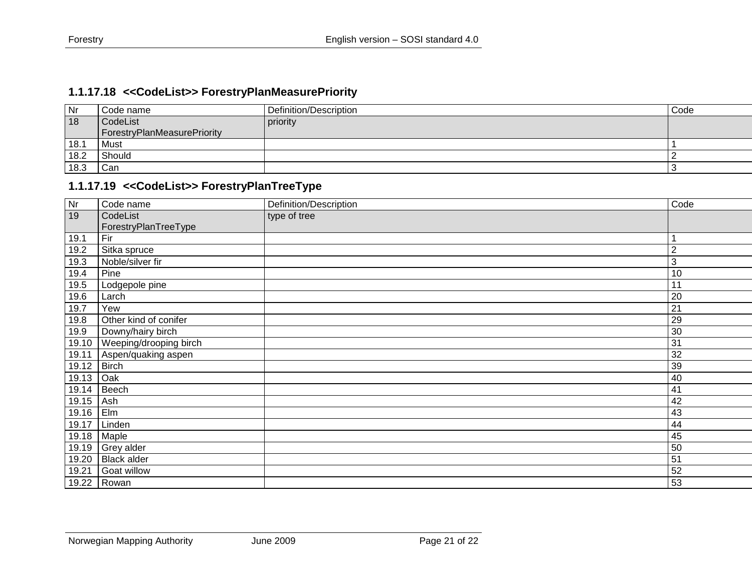#### **1.1.17.18 <<CodeList>> ForestryPlanMeasurePriority**

| Nr   | Code name                   | Definition/Description | Code |
|------|-----------------------------|------------------------|------|
| 18   | CodeList                    | priority               |      |
|      | ForestryPlanMeasurePriority |                        |      |
| 18.1 | Must                        |                        |      |
| 18.2 | Should                      |                        |      |
| 18.3 | Can                         |                        |      |

# **1.1.17.19 <<CodeList>> ForestryPlanTreeType**

<span id="page-20-1"></span><span id="page-20-0"></span>

| Nr    | Code name              | Definition/Description | Code           |
|-------|------------------------|------------------------|----------------|
| 19    | CodeList               | type of tree           |                |
|       | ForestryPlanTreeType   |                        |                |
| 19.1  | Fir                    |                        |                |
| 19.2  | Sitka spruce           |                        | $\overline{2}$ |
| 19.3  | Noble/silver fir       |                        | $\mathbf{3}$   |
| 19.4  | Pine                   |                        | 10             |
| 19.5  | Lodgepole pine         |                        | 11             |
| 19.6  | Larch                  |                        | 20             |
| 19.7  | Yew                    |                        | 21             |
| 19.8  | Other kind of conifer  |                        | 29             |
| 19.9  | Downy/hairy birch      |                        | 30             |
| 19.10 | Weeping/drooping birch |                        | 31             |
| 19.11 | Aspen/quaking aspen    |                        | 32             |
| 19.12 | <b>Birch</b>           |                        | 39             |
| 19.13 | Oak                    |                        | 40             |
| 19.14 | Beech                  |                        | 41             |
| 19.15 | Ash                    |                        | 42             |
| 19.16 | Elm                    |                        | 43             |
| 19.17 | Linden                 |                        | 44             |
|       | 19.18 Maple            |                        | 45             |
| 19.19 | Grey alder             |                        | 50             |
| 19.20 | <b>Black alder</b>     |                        | 51             |
| 19.21 | Goat willow            |                        | 52             |
|       | 19.22 Rowan            |                        | 53             |